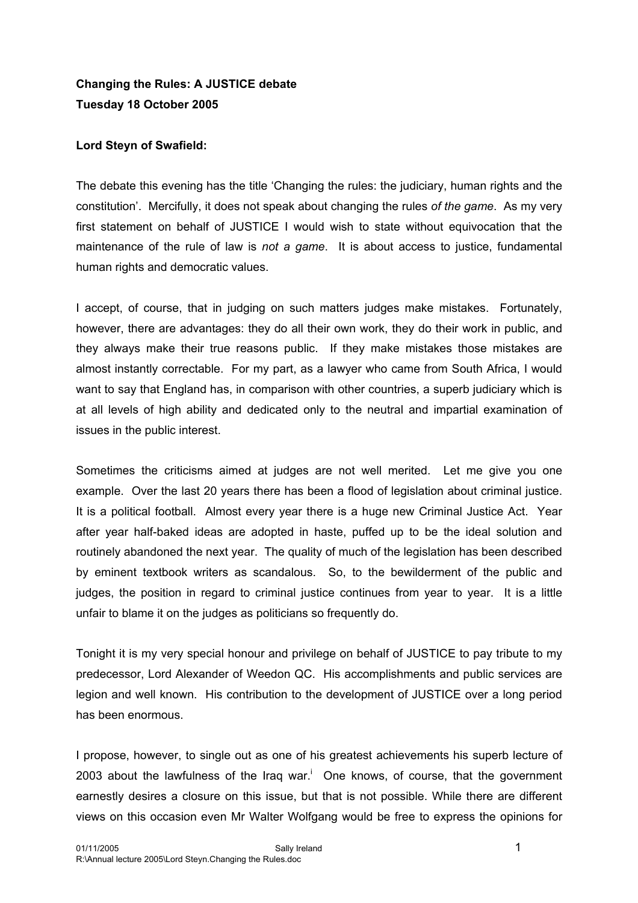## **Changing the Rules: A JUSTICE debate Tuesday 18 October 2005**

## **Lord Steyn of Swafield:**

The debate this evening has the title 'Changing the rules: the judiciary, human rights and the constitution'. Mercifully, it does not speak about changing the rules *of the game*. As my very first statement on behalf of JUSTICE I would wish to state without equivocation that the maintenance of the rule of law is *not a game*. It is about access to justice, fundamental human rights and democratic values.

I accept, of course, that in judging on such matters judges make mistakes. Fortunately, however, there are advantages: they do all their own work, they do their work in public, and they always make their true reasons public. If they make mistakes those mistakes are almost instantly correctable. For my part, as a lawyer who came from South Africa, I would want to say that England has, in comparison with other countries, a superb judiciary which is at all levels of high ability and dedicated only to the neutral and impartial examination of issues in the public interest.

Sometimes the criticisms aimed at judges are not well merited. Let me give you one example. Over the last 20 years there has been a flood of legislation about criminal justice. It is a political football. Almost every year there is a huge new Criminal Justice Act. Year after year half-baked ideas are adopted in haste, puffed up to be the ideal solution and routinely abandoned the next year. The quality of much of the legislation has been described by eminent textbook writers as scandalous. So, to the bewilderment of the public and judges, the position in regard to criminal justice continues from year to year. It is a little unfair to blame it on the judges as politicians so frequently do.

Tonight it is my very special honour and privilege on behalf of JUSTICE to pay tribute to my predecessor, Lord Alexander of Weedon QC. His accomplishments and public services are legion and well known. His contribution to the development of JUSTICE over a long period has been enormous.

I propose, however, to single out as one of his greatest achievements his superb lecture of 2003about the lawfulness of the Iraq war.<sup>i</sup> One knows, of course, that the government earnestly desires a closure on this issue, but that is not possible. While there are different views on this occasion even Mr Walter Wolfgang would be free to express the opinions for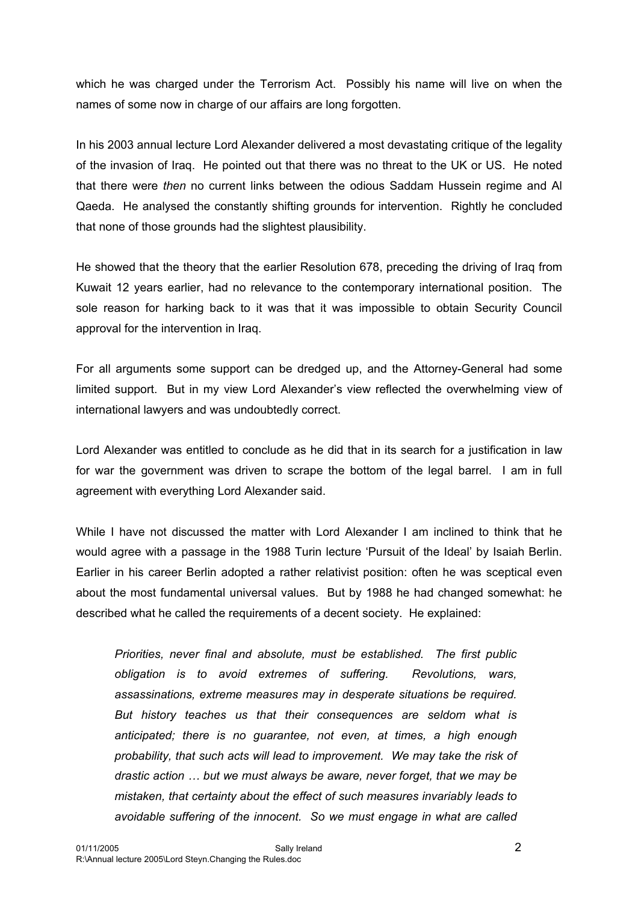which he was charged under the Terrorism Act. Possibly his name will live on when the names of some now in charge of our affairs are long forgotten.

In his 2003 annual lecture Lord Alexander delivered a most devastating critique of the legality of the invasion of Iraq. He pointed out that there was no threat to the UK or US. He noted that there were *then* no current links between the odious Saddam Hussein regime and Al Qaeda. He analysed the constantly shifting grounds for intervention. Rightly he concluded that none of those grounds had the slightest plausibility.

He showed that the theory that the earlier Resolution 678, preceding the driving of Iraq from Kuwait 12 years earlier, had no relevance to the contemporary international position. The sole reason for harking back to it was that it was impossible to obtain Security Council approval for the intervention in Iraq.

For all arguments some support can be dredged up, and the Attorney-General had some limited support. But in my view Lord Alexander's view reflected the overwhelming view of international lawyers and was undoubtedly correct.

Lord Alexander was entitled to conclude as he did that in its search for a justification in law for war the government was driven to scrape the bottom of the legal barrel. I am in full agreement with everything Lord Alexander said.

While I have not discussed the matter with Lord Alexander I am inclined to think that he would agree with a passage in the 1988 Turin lecture 'Pursuit of the Ideal' by Isaiah Berlin. Earlier in his career Berlin adopted a rather relativist position: often he was sceptical even about the most fundamental universal values. But by 1988 he had changed somewhat: he described what he called the requirements of a decent society. He explained:

*Priorities, never final and absolute, must be established. The first public obligation is to avoid extremes of suffering. Revolutions, wars, assassinations, extreme measures may in desperate situations be required. But history teaches us that their consequences are seldom what is anticipated; there is no guarantee, not even, at times, a high enough probability, that such acts will lead to improvement. We may take the risk of drastic action … but we must always be aware, never forget, that we may be mistaken, that certainty about the effect of such measures invariably leads to avoidable suffering of the innocent. So we must engage in what are called*